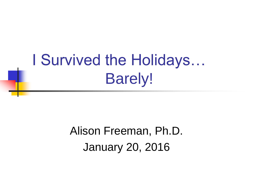## I Survived the Holidays… Barely!

### Alison Freeman, Ph.D. January 20, 2016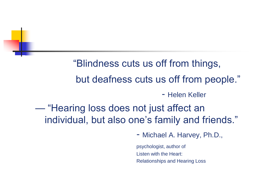"Blindness cuts us off from things, but deafness cuts us off from people." - Helen Keller — "Hearing loss does not just affect an individual, but also one's family and friends."

- Michael A. Harvey, Ph.D.,

psychologist, author of Listen with the Heart: Relationships and Hearing Loss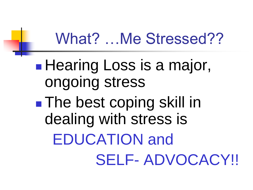### What? …Me Stressed??

**Hearing Loss is a major,** ongoing stress **The best coping skill in** dealing with stress is EDUCATION and SELF- ADVOCACY!!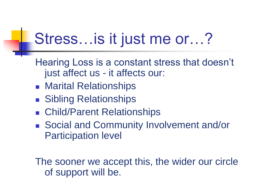## Stress…is it just me or…?

Hearing Loss is a constant stress that doesn't just affect us - it affects our:

- **Marital Relationships**
- **Sibling Relationships**
- Child/Parent Relationships
- Social and Community Involvement and/or Participation level

The sooner we accept this, the wider our circle of support will be.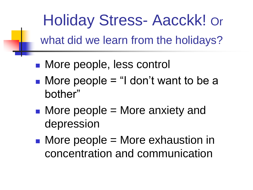Holiday Stress- Aacckk! Or what did we learn from the holidays?

- **Nore people, less control**
- $\blacksquare$  More people = "I don't want to be a bother"
- $\blacksquare$  More people  $\blacksquare$  More anxiety and depression
- More people = More exhaustion in concentration and communication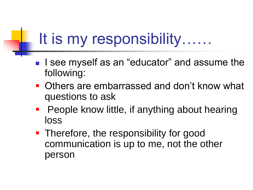## It is my responsibility……

- **I** isee myself as an "educator" and assume the following:
- Others are embarrassed and don't know what questions to ask
- People know little, if anything about hearing loss
- Therefore, the responsibility for good communication is up to me, not the other person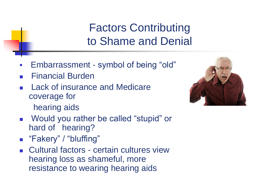#### Factors Contributing to Shame and Denial

- Embarrassment symbol of being "old"
- Financial Burden
- Lack of insurance and Medicare coverage for

hearing aids

#### Would you rather be called "stupid" or hard of hearing?

- **E** "Fakery" / "bluffing"
- Cultural factors certain cultures view hearing loss as shameful, more resistance to wearing hearing aids

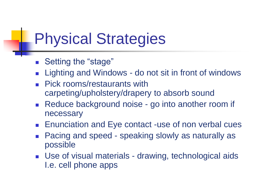## Physical Strategies

- Setting the "stage"
- Lighting and Windows do not sit in front of windows
- Pick rooms/restaurants with carpeting/upholstery/drapery to absorb sound
- Reduce background noise go into another room if necessary
- **Enunciation and Eye contact -use of non verbal cues**
- Pacing and speed speaking slowly as naturally as possible
- Use of visual materials drawing, technological aids I.e. cell phone apps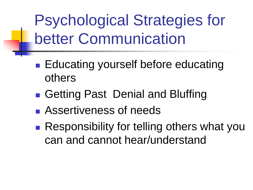Psychological Strategies for better Communication

- **Educating yourself before educating** others
- Getting Past Denial and Bluffing
- **Assertiveness of needs**
- **Responsibility for telling others what you** can and cannot hear/understand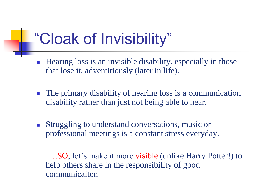## "Cloak of Invisibility"

- **Hearing loss is an invisible disability, especially in those** that lose it, adventitiously (later in life).
- **The primary disability of hearing loss is a communication** disability rather than just not being able to hear.
- **Struggling to understand conversations, music or** professional meetings is a constant stress everyday.

 ….SO, let's make it more visible (unlike Harry Potter!) to help others share in the responsibility of good communicaiton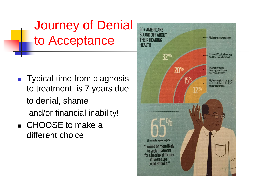Journey of Denial to Acceptance

- **Typical time from diagnosis** to treatment is 7 years due to denial, shame and/or financial inability!
- CHOOSE to make a different choice

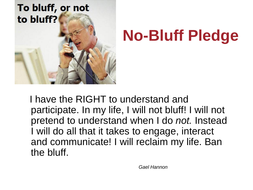

# **No-Bluff Pledge**

 I have the RIGHT to understand and participate. In my life, I will not bluff! I will not pretend to understand when I do *not.* Instead I will do all that it takes to engage, interact and communicate! I will reclaim my life. Ban the bluff.

 *Gael Hannon*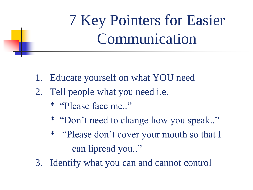7 Key Pointers for Easier Communication

- 1. Educate yourself on what YOU need
- 2. Tell people what you need i.e.
	- \* "Please face me.."
	- \* "Don't need to change how you speak.."
	- \* "Please don't cover your mouth so that I can lipread you.."
- 3. Identify what you can and cannot control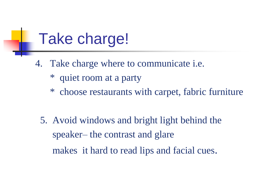## Take charge!

- 4. Take charge where to communicate i.e.
	- \* quiet room at a party
	- \* choose restaurants with carpet, fabric furniture
	- 5. Avoid windows and bright light behind the speaker– the contrast and glare makes it hard to read lips and facial cues.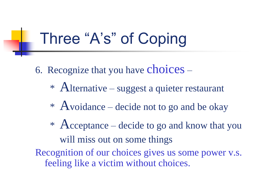## Three "A's" of Coping

- 6. Recognize that you have choices
	- \* Alternative suggest a quieter restaurant
	- \* Avoidance decide not to go and be okay
	- \* Acceptance decide to go and know that you will miss out on some things
- Recognition of our choices gives us some power v.s. feeling like a victim without choices.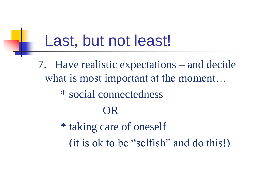## Last, but not least!

7. Have realistic expectations – and decide what is most important at the moment...

\* social connectedness

#### OR

 \* taking care of oneself (it is ok to be "selfish" and do this!)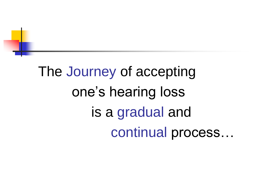# The Journey of accepting one's hearing loss is a gradual and continual process…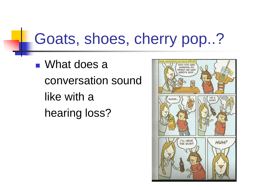## Goats, shoes, cherry pop..?

■ What does a conversation sound like with a hearing loss?

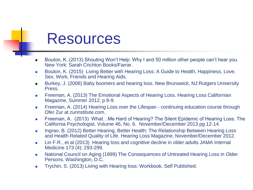### Resources

- Bouton, K. (2013) Shouting Won't Help: Why I and 50 million other people can't hear you. New York: Sarah Crichton Books/Farrar.
- Bouton, K. (2015) Living Better with Hearing Loss: A Guide to Health, Happiness, Love, Sex, Work, Friends and Hearing Aids.
- Burkey, J. (2006) Baby boomers and hearing loss. New Brunswick, NJ:Rutgers University Press.
- **Freeman, A. (2013) The Emotional Aspects of Hearing Loss. Hearing Loss Californian** Magazine, Summer 2012, p 8-9.
- **Figure 1**. Freeman, A. (2014) Hearing Loss over the Lifespan continuing education course through Ofer Zur at zurinstitute.com
- Freeman, A. (2013) What...Me Hard of Hearing? The Silent Epidemic of Hearing Loss. The California Psychologist. Volume 46, No. 6. November/December 2013 pg 12-14.
- **Ingrao, B. (2012) Better Hearing, Better Health: The Relationship Between Hearing Loss** and Health Related Quality of Life. Hearing Loss Magazine, November/December 2012.
- Lin F.R., et al (2013) Hearing loss and cognitive decline in older adults JAMA Internal Medicine 173 (4): 293-299.
- National Council on Aging (1999) The Consequences of Untreated Hearing Loss in Older Persons. Washington, D.C.
- **Trychin, S. (2013) Living with Hearing loss: Workbook. Self Published.**